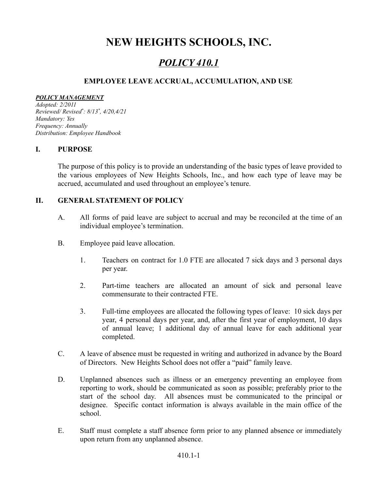# **NEW HEIGHTS SCHOOLS, INC.**

## *POLICY 410.1*

## **EMPLOYEE LEAVE ACCRUAL, ACCUMULATION, AND USE**

#### *POLICY MANAGEMENT*

*Adopted: 2/2011 Reviewed/ Revised \* : 8/13 \* , 4/20,4/21 Mandatory: Yes Frequency: Annually Distribution: Employee Handbook*

### **I. PURPOSE**

The purpose of this policy is to provide an understanding of the basic types of leave provided to the various employees of New Heights Schools, Inc., and how each type of leave may be accrued, accumulated and used throughout an employee's tenure.

## **II. GENERAL STATEMENT OF POLICY**

- A. All forms of paid leave are subject to accrual and may be reconciled at the time of an individual employee's termination.
- B. Employee paid leave allocation.
	- 1. Teachers on contract for 1.0 FTE are allocated 7 sick days and 3 personal days per year.
	- 2. Part-time teachers are allocated an amount of sick and personal leave commensurate to their contracted FTE.
	- 3. Full-time employees are allocated the following types of leave: 10 sick days per year, 4 personal days per year, and, after the first year of employment, 10 days of annual leave; 1 additional day of annual leave for each additional year completed.
- C. A leave of absence must be requested in writing and authorized in advance by the Board of Directors. New Heights School does not offer a "paid" family leave.
- D. Unplanned absences such as illness or an emergency preventing an employee from reporting to work, should be communicated as soon as possible; preferably prior to the start of the school day. All absences must be communicated to the principal or designee. Specific contact information is always available in the main office of the school.
- E. Staff must complete a staff absence form prior to any planned absence or immediately upon return from any unplanned absence.